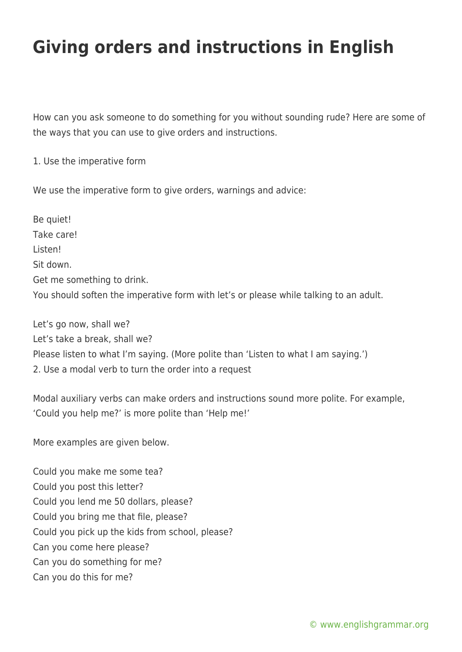## **Giving orders and instructions in English**

How can you ask someone to do something for you without sounding rude? Here are some of the ways that you can use to give orders and instructions.

1. Use the imperative form

We use the imperative form to give orders, warnings and advice:

Be quiet! Take care! Listen! Sit down. Get me something to drink. You should soften the imperative form with let's or please while talking to an adult.

Let's go now, shall we? Let's take a break, shall we? Please listen to what I'm saying. (More polite than 'Listen to what I am saying.') 2. Use a modal verb to turn the order into a request

Modal auxiliary verbs can make orders and instructions sound more polite. For example, 'Could you help me?' is more polite than 'Help me!'

More examples are given below.

Could you make me some tea? Could you post this letter? Could you lend me 50 dollars, please? Could you bring me that file, please? Could you pick up the kids from school, please? Can you come here please? Can you do something for me? Can you do this for me?